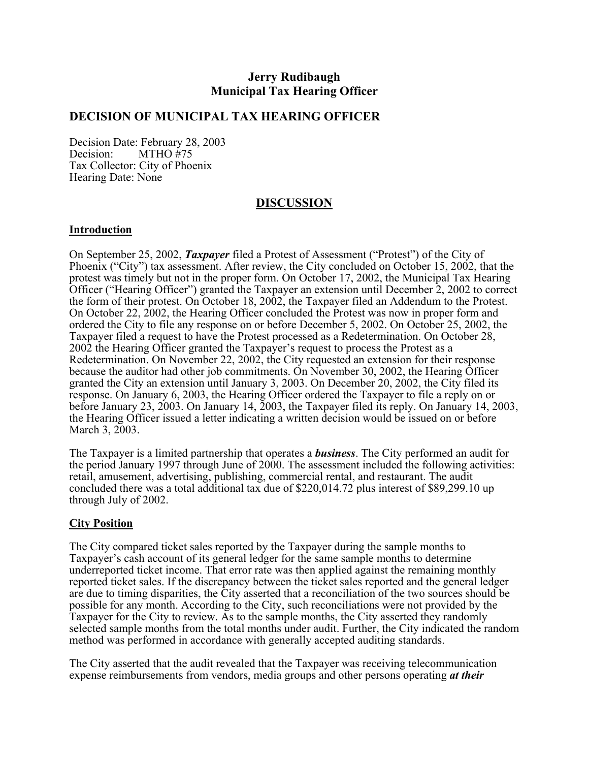# **Jerry Rudibaugh Municipal Tax Hearing Officer**

### **DECISION OF MUNICIPAL TAX HEARING OFFICER**

Decision Date: February 28, 2003<br>Decision: MTHO #75  $MTHO$ #75 Tax Collector: City of Phoenix Hearing Date: None

## **DISCUSSION**

#### **Introduction**

On September 25, 2002, *Taxpayer* filed a Protest of Assessment ("Protest") of the City of Phoenix ("City") tax assessment. After review, the City concluded on October 15, 2002, that the protest was timely but not in the proper form. On October 17, 2002, the Municipal Tax Hearing Officer ("Hearing Officer") granted the Taxpayer an extension until December 2, 2002 to correct the form of their protest. On October 18, 2002, the Taxpayer filed an Addendum to the Protest. On October 22, 2002, the Hearing Officer concluded the Protest was now in proper form and ordered the City to file any response on or before December 5, 2002. On October 25, 2002, the Taxpayer filed a request to have the Protest processed as a Redetermination. On October 28, 2002 the Hearing Officer granted the Taxpayer's request to process the Protest as a Redetermination. On November 22, 2002, the City requested an extension for their response because the auditor had other job commitments. On November 30, 2002, the Hearing Officer granted the City an extension until January 3, 2003. On December 20, 2002, the City filed its response. On January 6, 2003, the Hearing Officer ordered the Taxpayer to file a reply on or before January 23, 2003. On January 14, 2003, the Taxpayer filed its reply. On January 14, 2003, the Hearing Officer issued a letter indicating a written decision would be issued on or before March 3, 2003.

The Taxpayer is a limited partnership that operates a *business*. The City performed an audit for the period January 1997 through June of 2000. The assessment included the following activities: retail, amusement, advertising, publishing, commercial rental, and restaurant. The audit concluded there was a total additional tax due of \$220,014.72 plus interest of \$89,299.10 up through July of 2002.

#### **City Position**

The City compared ticket sales reported by the Taxpayer during the sample months to Taxpayer's cash account of its general ledger for the same sample months to determine underreported ticket income. That error rate was then applied against the remaining monthly reported ticket sales. If the discrepancy between the ticket sales reported and the general ledger are due to timing disparities, the City asserted that a reconciliation of the two sources should be possible for any month. According to the City, such reconciliations were not provided by the Taxpayer for the City to review. As to the sample months, the City asserted they randomly selected sample months from the total months under audit. Further, the City indicated the random method was performed in accordance with generally accepted auditing standards.

The City asserted that the audit revealed that the Taxpayer was receiving telecommunication expense reimbursements from vendors, media groups and other persons operating *at their*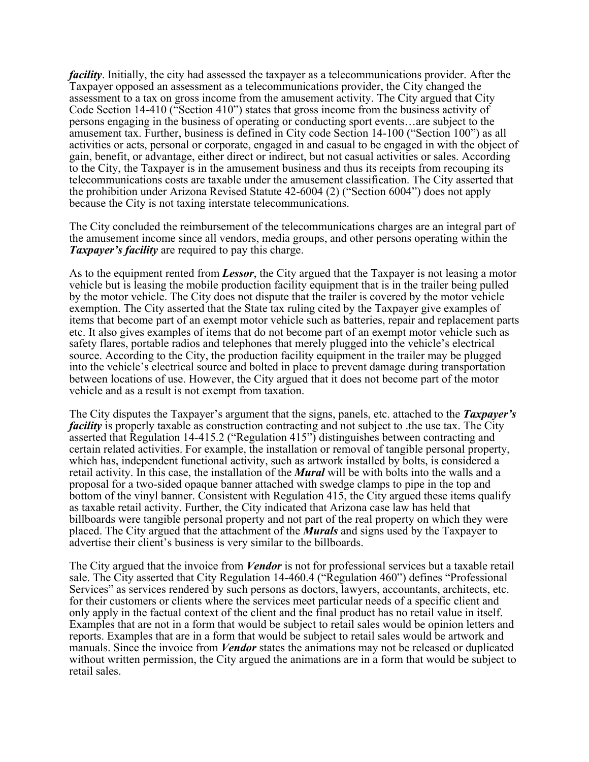*facility*. Initially, the city had assessed the taxpayer as a telecommunications provider. After the Taxpayer opposed an assessment as a telecommunications provider, the City changed the assessment to a tax on gross income from the amusement activity. The City argued that City Code Section 14-410 ("Section 410") states that gross income from the business activity of persons engaging in the business of operating or conducting sport events…are subject to the amusement tax. Further, business is defined in City code Section 14-100 ("Section 100") as all activities or acts, personal or corporate, engaged in and casual to be engaged in with the object of gain, benefit, or advantage, either direct or indirect, but not casual activities or sales. According to the City, the Taxpayer is in the amusement business and thus its receipts from recouping its telecommunications costs are taxable under the amusement classification. The City asserted that the prohibition under Arizona Revised Statute 42-6004 (2) ("Section 6004") does not apply because the City is not taxing interstate telecommunications.

The City concluded the reimbursement of the telecommunications charges are an integral part of the amusement income since all vendors, media groups, and other persons operating within the *Taxpayer's facility* are required to pay this charge.

As to the equipment rented from *Lessor*, the City argued that the Taxpayer is not leasing a motor vehicle but is leasing the mobile production facility equipment that is in the trailer being pulled by the motor vehicle. The City does not dispute that the trailer is covered by the motor vehicle exemption. The City asserted that the State tax ruling cited by the Taxpayer give examples of items that become part of an exempt motor vehicle such as batteries, repair and replacement parts etc. It also gives examples of items that do not become part of an exempt motor vehicle such as safety flares, portable radios and telephones that merely plugged into the vehicle's electrical source. According to the City, the production facility equipment in the trailer may be plugged into the vehicle's electrical source and bolted in place to prevent damage during transportation between locations of use. However, the City argued that it does not become part of the motor vehicle and as a result is not exempt from taxation.

The City disputes the Taxpayer's argument that the signs, panels, etc. attached to the *Taxpayer's facility* is properly taxable as construction contracting and not subject to the use tax. The City asserted that Regulation 14-415.2 ("Regulation 415") distinguishes between contracting and certain related activities. For example, the installation or removal of tangible personal property, which has, independent functional activity, such as artwork installed by bolts, is considered a retail activity. In this case, the installation of the *Mural* will be with bolts into the walls and a proposal for a two-sided opaque banner attached with swedge clamps to pipe in the top and bottom of the vinyl banner. Consistent with Regulation 415, the City argued these items qualify as taxable retail activity. Further, the City indicated that Arizona case law has held that billboards were tangible personal property and not part of the real property on which they were placed. The City argued that the attachment of the *Murals* and signs used by the Taxpayer to advertise their client's business is very similar to the billboards.

The City argued that the invoice from *Vendor* is not for professional services but a taxable retail sale. The City asserted that City Regulation 14-460.4 ("Regulation 460") defines "Professional Services" as services rendered by such persons as doctors, lawyers, accountants, architects, etc. for their customers or clients where the services meet particular needs of a specific client and only apply in the factual context of the client and the final product has no retail value in itself. Examples that are not in a form that would be subject to retail sales would be opinion letters and reports. Examples that are in a form that would be subject to retail sales would be artwork and manuals. Since the invoice from *Vendor* states the animations may not be released or duplicated without written permission, the City argued the animations are in a form that would be subject to retail sales.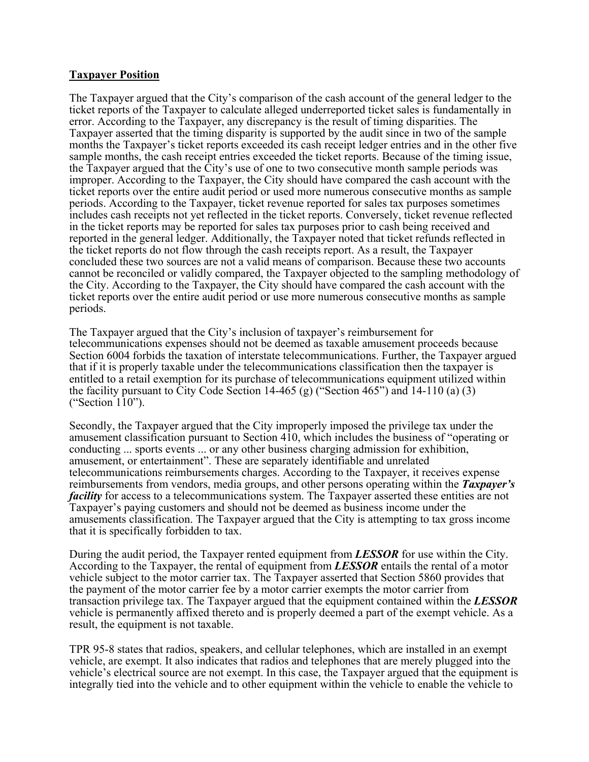#### **Taxpayer Position**

The Taxpayer argued that the City's comparison of the cash account of the general ledger to the ticket reports of the Taxpayer to calculate alleged underreported ticket sales is fundamentally in error. According to the Taxpayer, any discrepancy is the result of timing disparities. The Taxpayer asserted that the timing disparity is supported by the audit since in two of the sample months the Taxpayer's ticket reports exceeded its cash receipt ledger entries and in the other five sample months, the cash receipt entries exceeded the ticket reports. Because of the timing issue, the Taxpayer argued that the City's use of one to two consecutive month sample periods was improper. According to the Taxpayer, the City should have compared the cash account with the ticket reports over the entire audit period or used more numerous consecutive months as sample periods. According to the Taxpayer, ticket revenue reported for sales tax purposes sometimes includes cash receipts not yet reflected in the ticket reports. Conversely, ticket revenue reflected in the ticket reports may be reported for sales tax purposes prior to cash being received and reported in the general ledger. Additionally, the Taxpayer noted that ticket refunds reflected in the ticket reports do not flow through the cash receipts report. As a result, the Taxpayer concluded these two sources are not a valid means of comparison. Because these two accounts cannot be reconciled or validly compared, the Taxpayer objected to the sampling methodology of the City. According to the Taxpayer, the City should have compared the cash account with the ticket reports over the entire audit period or use more numerous consecutive months as sample periods.

The Taxpayer argued that the City's inclusion of taxpayer's reimbursement for telecommunications expenses should not be deemed as taxable amusement proceeds because Section 6004 forbids the taxation of interstate telecommunications. Further, the Taxpayer argued that if it is properly taxable under the telecommunications classification then the taxpayer is entitled to a retail exemption for its purchase of telecommunications equipment utilized within the facility pursuant to City Code Section 14-465 (g) ("Section 465") and 14-110 (a) (3) ("Section 110").

Secondly, the Taxpayer argued that the City improperly imposed the privilege tax under the amusement classification pursuant to Section 410, which includes the business of "operating or conducting ... sports events ... or any other business charging admission for exhibition, amusement, or entertainment". These are separately identifiable and unrelated telecommunications reimbursements charges. According to the Taxpayer, it receives expense reimbursements from vendors, media groups, and other persons operating within the *Taxpayer's facility* for access to a telecommunications system. The Taxpayer asserted these entities are not Taxpayer's paying customers and should not be deemed as business income under the amusements classification. The Taxpayer argued that the City is attempting to tax gross income that it is specifically forbidden to tax.

During the audit period, the Taxpayer rented equipment from *LESSOR* for use within the City. According to the Taxpayer, the rental of equipment from *LESSOR* entails the rental of a motor vehicle subject to the motor carrier tax. The Taxpayer asserted that Section 5860 provides that the payment of the motor carrier fee by a motor carrier exempts the motor carrier from transaction privilege tax. The Taxpayer argued that the equipment contained within the *LESSOR* vehicle is permanently affixed thereto and is properly deemed a part of the exempt vehicle. As a result, the equipment is not taxable.

TPR 95-8 states that radios, speakers, and cellular telephones, which are installed in an exempt vehicle, are exempt. It also indicates that radios and telephones that are merely plugged into the vehicle's electrical source are not exempt. In this case, the Taxpayer argued that the equipment is integrally tied into the vehicle and to other equipment within the vehicle to enable the vehicle to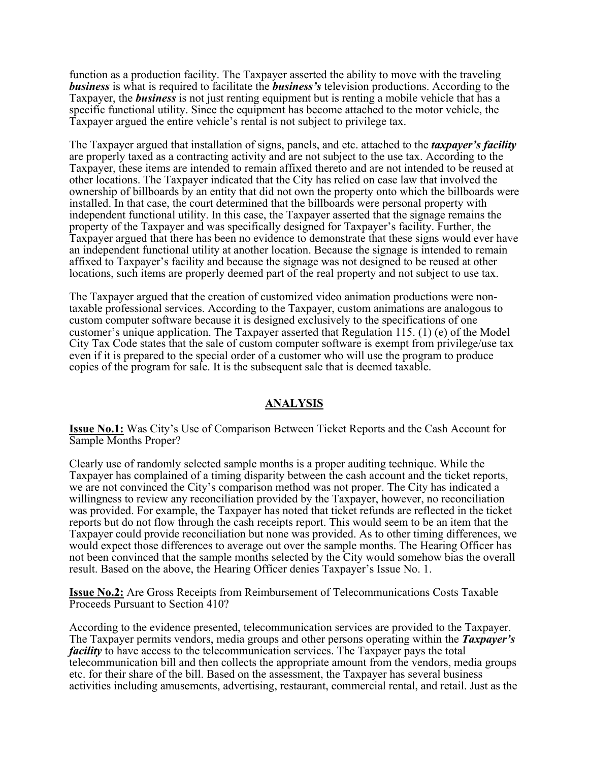function as a production facility. The Taxpayer asserted the ability to move with the traveling *business* is what is required to facilitate the *business's* television productions. According to the Taxpayer, the *business* is not just renting equipment but is renting a mobile vehicle that has a specific functional utility. Since the equipment has become attached to the motor vehicle, the Taxpayer argued the entire vehicle's rental is not subject to privilege tax.

The Taxpayer argued that installation of signs, panels, and etc. attached to the *taxpayer's facility* are properly taxed as a contracting activity and are not subject to the use tax. According to the Taxpayer, these items are intended to remain affixed thereto and are not intended to be reused at other locations. The Taxpayer indicated that the City has relied on case law that involved the ownership of billboards by an entity that did not own the property onto which the billboards were installed. In that case, the court determined that the billboards were personal property with independent functional utility. In this case, the Taxpayer asserted that the signage remains the property of the Taxpayer and was specifically designed for Taxpayer's facility. Further, the Taxpayer argued that there has been no evidence to demonstrate that these signs would ever have an independent functional utility at another location. Because the signage is intended to remain affixed to Taxpayer's facility and because the signage was not designed to be reused at other locations, such items are properly deemed part of the real property and not subject to use tax.

The Taxpayer argued that the creation of customized video animation productions were nontaxable professional services. According to the Taxpayer, custom animations are analogous to custom computer software because it is designed exclusively to the specifications of one customer's unique application. The Taxpayer asserted that Regulation 115. (1) (e) of the Model City Tax Code states that the sale of custom computer software is exempt from privilege/use tax even if it is prepared to the special order of a customer who will use the program to produce copies of the program for sale. It is the subsequent sale that is deemed taxable.

#### **ANALYSIS**

**Issue No.1:** Was City's Use of Comparison Between Ticket Reports and the Cash Account for Sample Months Proper?

Clearly use of randomly selected sample months is a proper auditing technique. While the Taxpayer has complained of a timing disparity between the cash account and the ticket reports, we are not convinced the City's comparison method was not proper. The City has indicated a willingness to review any reconciliation provided by the Taxpayer, however, no reconciliation was provided. For example, the Taxpayer has noted that ticket refunds are reflected in the ticket reports but do not flow through the cash receipts report. This would seem to be an item that the Taxpayer could provide reconciliation but none was provided. As to other timing differences, we would expect those differences to average out over the sample months. The Hearing Officer has not been convinced that the sample months selected by the City would somehow bias the overall result. Based on the above, the Hearing Officer denies Taxpayer's Issue No. 1.

**Issue No.2:** Are Gross Receipts from Reimbursement of Telecommunications Costs Taxable Proceeds Pursuant to Section 410?

According to the evidence presented, telecommunication services are provided to the Taxpayer. The Taxpayer permits vendors, media groups and other persons operating within the *Taxpayer's facility* to have access to the telecommunication services. The Taxpayer pays the total telecommunication bill and then collects the appropriate amount from the vendors, media groups etc. for their share of the bill. Based on the assessment, the Taxpayer has several business activities including amusements, advertising, restaurant, commercial rental, and retail. Just as the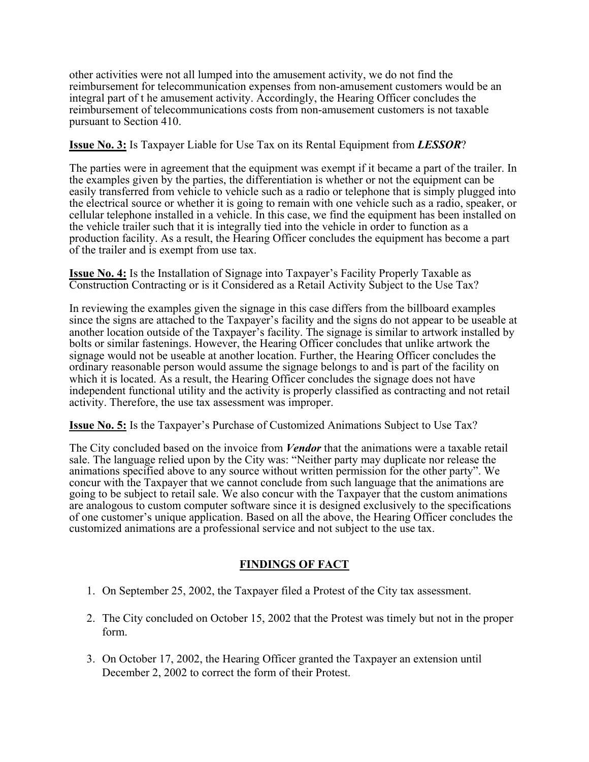other activities were not all lumped into the amusement activity, we do not find the reimbursement for telecommunication expenses from non-amusement customers would be an integral part of t he amusement activity. Accordingly, the Hearing Officer concludes the reimbursement of telecommunications costs from non-amusement customers is not taxable pursuant to Section 410.

### **Issue No. 3:** Is Taxpayer Liable for Use Tax on its Rental Equipment from *LESSOR*?

The parties were in agreement that the equipment was exempt if it became a part of the trailer. In the examples given by the parties, the differentiation is whether or not the equipment can be easily transferred from vehicle to vehicle such as a radio or telephone that is simply plugged into the electrical source or whether it is going to remain with one vehicle such as a radio, speaker, or cellular telephone installed in a vehicle. In this case, we find the equipment has been installed on the vehicle trailer such that it is integrally tied into the vehicle in order to function as a production facility. As a result, the Hearing Officer concludes the equipment has become a part of the trailer and is exempt from use tax.

**Issue No. 4:** Is the Installation of Signage into Taxpayer's Facility Properly Taxable as Construction Contracting or is it Considered as a Retail Activity Subject to the Use Tax?

In reviewing the examples given the signage in this case differs from the billboard examples since the signs are attached to the Taxpayer's facility and the signs do not appear to be useable at another location outside of the Taxpayer's facility. The signage is similar to artwork installed by bolts or similar fastenings. However, the Hearing Officer concludes that unlike artwork the signage would not be useable at another location. Further, the Hearing Officer concludes the ordinary reasonable person would assume the signage belongs to and is part of the facility on which it is located. As a result, the Hearing Officer concludes the signage does not have independent functional utility and the activity is properly classified as contracting and not retail activity. Therefore, the use tax assessment was improper.

**Issue No. 5:** Is the Taxpayer's Purchase of Customized Animations Subject to Use Tax?

The City concluded based on the invoice from *Vendor* that the animations were a taxable retail sale. The language relied upon by the City was: "Neither party may duplicate nor release the animations specified above to any source without written permission for the other party". We concur with the Taxpayer that we cannot conclude from such language that the animations are going to be subject to retail sale. We also concur with the Taxpayer that the custom animations are analogous to custom computer software since it is designed exclusively to the specifications of one customer's unique application. Based on all the above, the Hearing Officer concludes the customized animations are a professional service and not subject to the use tax.

# **FINDINGS OF FACT**

- 1. On September 25, 2002, the Taxpayer filed a Protest of the City tax assessment.
- 2. The City concluded on October 15, 2002 that the Protest was timely but not in the proper form.
- 3. On October 17, 2002, the Hearing Officer granted the Taxpayer an extension until December 2, 2002 to correct the form of their Protest.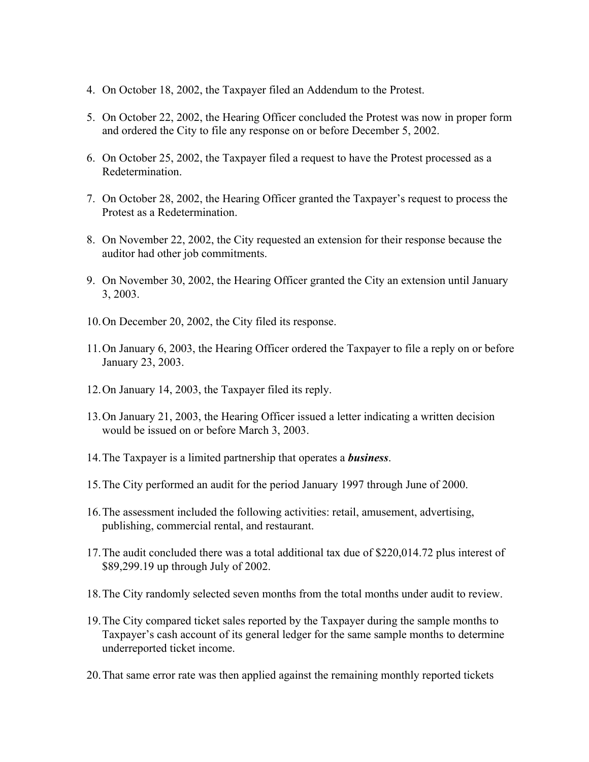- 4. On October 18, 2002, the Taxpayer filed an Addendum to the Protest.
- 5. On October 22, 2002, the Hearing Officer concluded the Protest was now in proper form and ordered the City to file any response on or before December 5, 2002.
- 6. On October 25, 2002, the Taxpayer filed a request to have the Protest processed as a Redetermination.
- 7. On October 28, 2002, the Hearing Officer granted the Taxpayer's request to process the Protest as a Redetermination.
- 8. On November 22, 2002, the City requested an extension for their response because the auditor had other job commitments.
- 9. On November 30, 2002, the Hearing Officer granted the City an extension until January 3, 2003.
- 10. On December 20, 2002, the City filed its response.
- 11. On January 6, 2003, the Hearing Officer ordered the Taxpayer to file a reply on or before January 23, 2003.
- 12. On January 14, 2003, the Taxpayer filed its reply.
- 13. On January 21, 2003, the Hearing Officer issued a letter indicating a written decision would be issued on or before March 3, 2003.
- 14. The Taxpayer is a limited partnership that operates a *business*.
- 15. The City performed an audit for the period January 1997 through June of 2000.
- 16. The assessment included the following activities: retail, amusement, advertising, publishing, commercial rental, and restaurant.
- 17. The audit concluded there was a total additional tax due of \$220,014.72 plus interest of \$89,299.19 up through July of 2002.
- 18. The City randomly selected seven months from the total months under audit to review.
- 19. The City compared ticket sales reported by the Taxpayer during the sample months to Taxpayer's cash account of its general ledger for the same sample months to determine underreported ticket income.
- 20. That same error rate was then applied against the remaining monthly reported tickets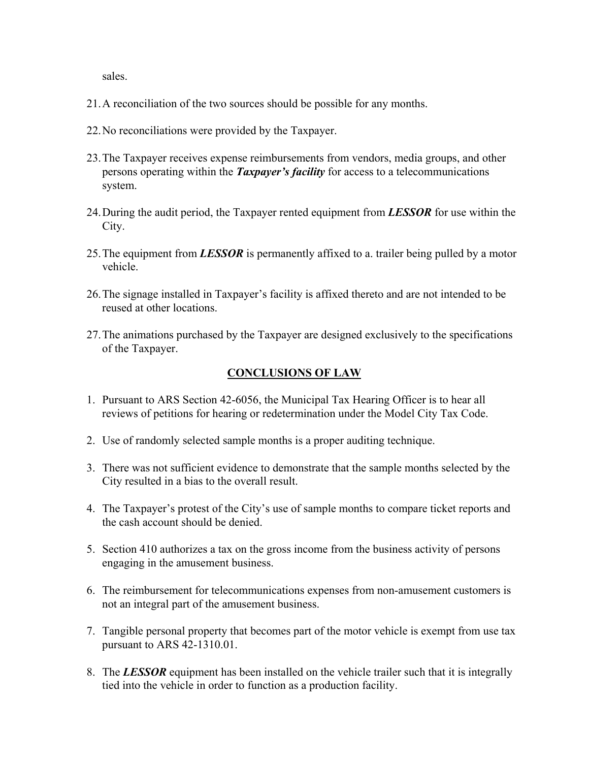sales.

- 21. A reconciliation of the two sources should be possible for any months.
- 22. No reconciliations were provided by the Taxpayer.
- 23. The Taxpayer receives expense reimbursements from vendors, media groups, and other persons operating within the *Taxpayer's facility* for access to a telecommunications system.
- 24. During the audit period, the Taxpayer rented equipment from *LESSOR* for use within the City.
- 25. The equipment from *LESSOR* is permanently affixed to a. trailer being pulled by a motor vehicle.
- 26. The signage installed in Taxpayer's facility is affixed thereto and are not intended to be reused at other locations.
- 27. The animations purchased by the Taxpayer are designed exclusively to the specifications of the Taxpayer.

## **CONCLUSIONS OF LAW**

- 1. Pursuant to ARS Section 42-6056, the Municipal Tax Hearing Officer is to hear all reviews of petitions for hearing or redetermination under the Model City Tax Code.
- 2. Use of randomly selected sample months is a proper auditing technique.
- 3. There was not sufficient evidence to demonstrate that the sample months selected by the City resulted in a bias to the overall result.
- 4. The Taxpayer's protest of the City's use of sample months to compare ticket reports and the cash account should be denied.
- 5. Section 410 authorizes a tax on the gross income from the business activity of persons engaging in the amusement business.
- 6. The reimbursement for telecommunications expenses from non-amusement customers is not an integral part of the amusement business.
- 7. Tangible personal property that becomes part of the motor vehicle is exempt from use tax pursuant to ARS 42-1310.01.
- 8. The *LESSOR* equipment has been installed on the vehicle trailer such that it is integrally tied into the vehicle in order to function as a production facility.